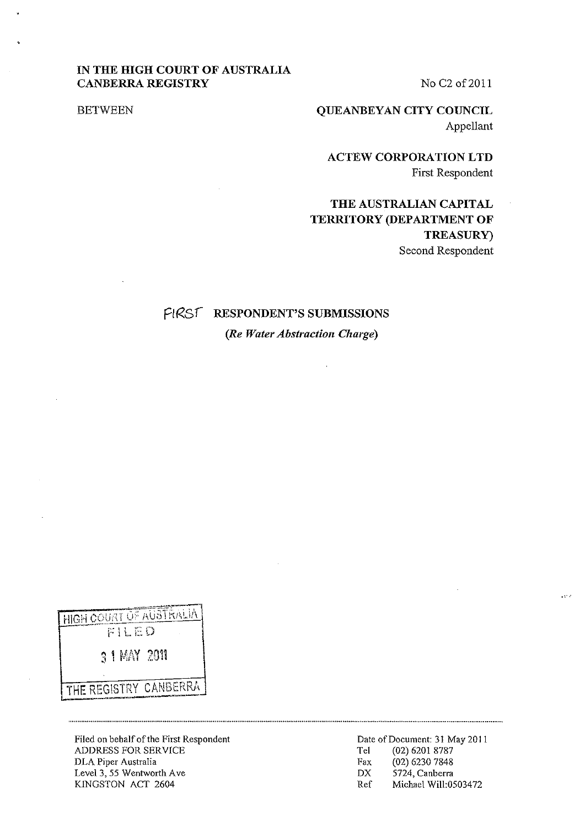## **IN THE HIGH COURT OF AUSTRALIA CANBERRA REGISTRY**

No C<sub>2</sub> of 2011

BETWEEN

**QUEANBEYAN CITY COUNCIL**  Appellant

**ACTEW CORPORATION LTD**  First Respondent

# **THE AUSTRALIAN CAPITAL TERRITORY (DEPARTMENT OF TREASURy)**  Second Respondent

## FIRST RESPONDENT'S SUBMISSIONS

*(Re Water Abstraction Charge)* 

 $\ddot{\phantom{a}}$ 

| HIGH COURT OF AUSTRALIA<br>FILED |
|----------------------------------|
| 3 1 MAY 2011                     |
|                                  |
| THE REGISTRY CANBERRA            |

Filed on behalf of the First Respondent ADDRESS FOR SERVICE DLA Piper Australia Level 3, 55 Wentworth Ave KINGSTON ACT 2604

----------------------------------

**.,'.'**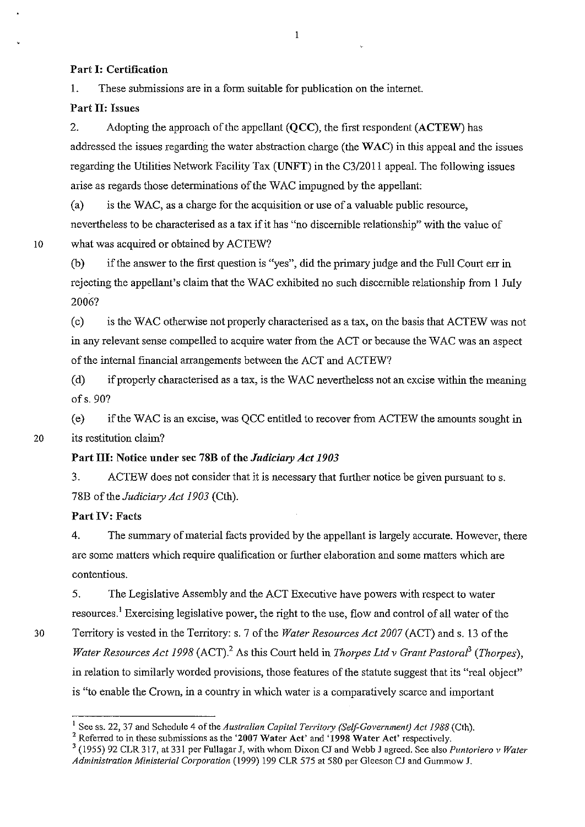### Part I: Certification

1. These submissions are in a fonn suitable for publication on the internet.

### Part II: Issues

2. Adopting the approach of the appellant (OCC), the first respondent (ACTEW) has addressed the issues regarding the water abstraction charge (the WAC) in this appeal and the issues regarding the Utilities Network Facility Tax (UNFT) in the *C3/20* 11 appeal. The following issues arise as regards those determinations of the WAC impugned by the appellant:

(a) is the W AC, as a charge for the acquisition or use of a valuable public resource, nevertheless to be characterised as a tax if it has "no discernible relationship" with the value of 10 what was acquired or obtained by ACTEW?

(b) if the answer to the first question is "yes", did the primary judge and the Full Court err in rejecting the appellant's claim that the WAC exhibited no such discernible relationship from I July 2006?

(c) is the W AC otherwise not properly characterised as a tax, on the basis that ACTEW was not in any relevant sense compelled to acquire water from the ACT or because the WAC was an aspect of the internal financial arrangements between the ACT and ACTEW?

(d) if properly characterised as a tax, is the W AC nevertheless not an excise within the meaning ofs.90?

(e) if the W AC is an excise, was QCC entitled to recover from ACTEW the amounts sought in 20 its restitution claim?

## Part Ill: Notice under sec 78B of the *Judiciary Act 1903*

3. ACTEW does not consider that it is necessary that further notice be given pursuant to s. 78B of the *Judicimy Act 1903* (Cth).

### Part IV: Facts

4. The summary of material facts provided by the appellant is largely accurate. However, there are some matters which require qualification or further elaboration and some matters which are contentious.

5. The Legislative Assembly and the ACT Executive have powers with respect to water resources.! Exercising legislative power, the right to the use, flow and control of all water of the 30 Territory is vested in the Territory: s. 7 of the *Water Resources Act 2007* (ACT) and s. 13 of the *Water Resources Act 1998* (ACT).<sup>2</sup> As this Court held in *Thorpes Ltd v Grant Pastoral*<sup>3</sup> (Thorpes), in relation to similarly worded provisions, those features of the statute suggest that its "real object" is "to enable the Crown, in a country in which water is a comparatively scarce and important

 $\mathbf{1}$ 

<sup>&</sup>lt;sup>1</sup> See ss. 22, 37 and Schedule 4 of the *Australian Capital Territory (Self-Government) Act 1988* (Cth).

 $2$  Referred to in these submissions as the '2007 Water Act' and '1998 Water Act' respectively.

<sup>3 (1955) 92</sup> CLR 317, at 331 per Fullagar J, with whom Dixon CJ and Webb J agreed. See also *Puntoriero* v *Water Administration Ministerial CO/poration* (1999) 199 CLR 575 at 580 per Gleeson CJ and Gummow J.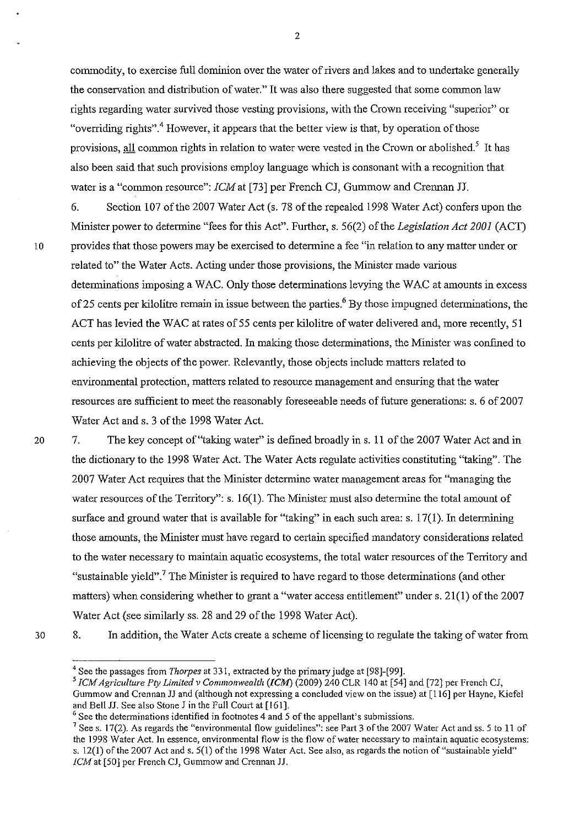commodity, to exercise full dominion over the water of rivers and lakes and to undertake generally the conservation and distribution of water." It was also there suggested that some common law rights regarding water survived those vesting provisions, with the Crown receiving "superior" or "overriding rights",  $4$  However, it appears that the better view is that, by operation of those provisions, all common rights in relation to water were vested in the Crown or abolished.<sup>5</sup> It has also been said that such provisions employ language which is consonant with a recognition that water is a "common resource": *[CM* at [73] per French *Cl,* Gummow and Crennan JJ.

6. Section 107 of the 2007 Water Act (s. 78 of the repealed 1998 Water Act) confers upon the Minister power to determine "fees for this Act". Further, s. 56(2) of the *Legislation Act 2001* (ACT) 10 provides that those powers may be exercised to determine a fee "in relation to any matter under or related to" the Water Acts. Acting under those provisions, the Minister made various determinations imposing a WAC. Only those determinations levying the WAC at amounts in excess of 25 cents per kilolitre remain in issue between the parties.<sup>6</sup> By those impugned determinations, the ACT has levied the WAC at rates of 55 cents per kilolitre of water delivered and, more recently, 51 cents per kilolitre of water abstracted. In making those determinations, the Minister was confined to achieving the objects of the power. Relevantly, those objects include matters related to environmental protection, matters related to resource management and ensuring that the water resources are sufficient to meet the reasonably foreseeable needs of future generations: s. 6 of 2007 Water Act and s. 3 of the 1998 Water Act.

20

7. The key concept of "taking water" is defined broadly in s. 11 of the 2007 Water Act and in the dictionary to the 1998 Water Act. The Water Acts regulate activities constituting "taking". The 2007 Water Act requires that the Minister detennine water management areas for "managing the water resources of the Territory": s. 16(1). The Minister must also determine the total amount of surface and ground water that is available for "taking" in each such area: s. 17(1). In determining those amounts, the Minister must have regard to certain specified mandatory considerations related to the water necessary to maintain aquatic ecosystems, the total water resources of the Territory and "sustainable yield".<sup>7</sup> The Minister is required to have regard to those determinations (and other matters) when considering whether to grant a "water access entitlement" under s. 21(1) of the 2007 Water Act (see similarly ss. 28 and 29 of the 1998 Water Act).

30

<sup>8.</sup> In addition, the Water Acts create a scheme of licensing to regulate the taking of water from

<sup>&</sup>lt;sup>4</sup> See the passages from *Thorpes* at 331, extracted by the primary judge at [98]-[99].

*<sup>5</sup> ICM Agriculture Ply Limited* v *Commonwealth (lCM)* (2009) 240 CLR 140 at [54] and [72] per French CJ, Gummow and Crennan JJ and (although not expressing a concluded view on the issue) at [116] per Hayne, Kiefel and Bell JJ. See also Stone J in the Full Court at [161].

 $6$  See the determinations identified in footnotes 4 and 5 of the appellant's submissions.

<sup>&</sup>lt;sup>7</sup> See s. 17(2). As regards the "environmental flow guidelines": see Part 3 of the 2007 Water Act and ss. 5 to 11 of **the 1998 Water Act. In essence, environmental flow is the flow** of water **necessary to maintain aquatic ecosystems:**  s. 12(1) of the 2007 Act and s. 5(1) of the 1998 Water Act. See also, as regards the notion of "sustainable yield" *fCM* at [50] per French CJ, Gummow and Crennan JJ.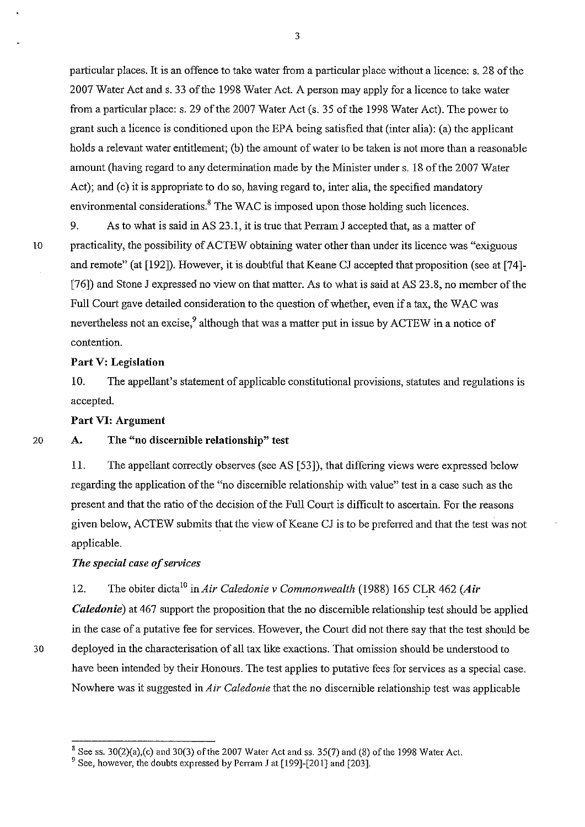particular places. It is an offence to take water from a particular place without a licence: s. 28 of the 2007 Water Act and s. 33 of the 1998 Water Act. A person may apply for a licence to take water from a particular place: s. 29 of the 2007 Water Act (s. 35 of the 1998 Water Act). The power to grant such a licence is conditioned upon the EPA being satisfied that (inter alia): (a) the applicant holds a relevant water entitlement; (b) the amount of water to be taken is not more than a reasonable amount (having regard to any detennination made by the Minister under s. 18 of the 2007 Water Act); and (c) it is appropriate to do so, having regard to, inter alia, the specified mandatory environmental considerations.<sup>8</sup> The WAC is imposed upon those holding such licences.

9. As to what is said in AS 23.1, it is true that Perram J accepted that, as a matter of 10 practicality, the possibility of ACTEW obtaining water other than under its licence was "exiguous and remote" (at [192]). However, it is doubtful that Keane CJ accepted that proposition (see at [74]- [76]) and Stone J expressed no view on that matter. As to what is said at AS 23.8, no member of the Full Court gave detailed consideration to the question of whether, even if a tax, the WAC was nevertheless not an excise,<sup>9</sup> although that was a matter put in issue by ACTEW in a notice of contention.

#### **Part** V: Legislation

10. The appellant's statement of applicable constitutional provisions, statutes and regulations is accepted.

## **Part VI:** Argument

20

#### A. The "no discernible relationship" test

11. The appellant correctly observes (see AS [53]), that differing views were expressed below regarding the application of the "no discernible relationship with value" test in a case such as the present and that the ratio of the decision of the Full Court is difficult to ascertain. For the reasons given below, ACTEW submits that the view of Keane CJ is to be preferred and that the test was not applicable.

## *The special case of services*

12. The obiter dicta<sup>10</sup> in *Air Caledonie v Commonwealth* (1988) 165 CLR 462 (Air *Caledonie*) at 467 support the proposition that the no discernible relationship test should be applied in the case of a putative fee for services. However, the Court did not there say that the test should be 30 deployed in the characterisation of all tax like exactions. That omission should be understood to have been intended by their Honours. The test applies to putative fees for services as a special case. Nowhere was it suggested *inAir Caledonie* that the no discernible relationship test was applicable

 $3$  See ss. 30(2)(a),(c) and 30(3) of the 2007 Water Act and ss. 35(7) and (8) of the 1998 Water Act.

<sup>&</sup>lt;sup>9</sup> See, however, the doubts expressed by Perram J at [199]-[201] and [203].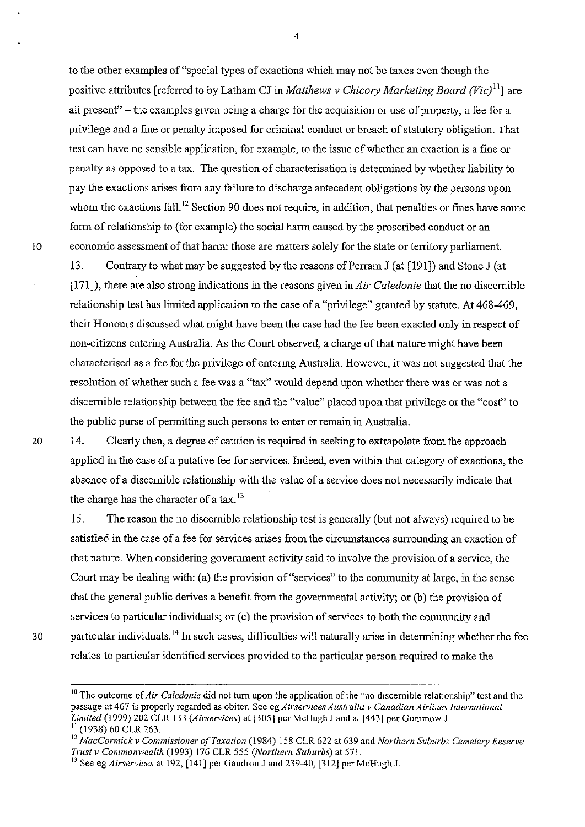to the other examples of "special types of exactions which may not be taxes even though the positive attributes [referred to by Latham CJ in *Matthews* v *Chicory Marketing Board (Vic/* I] are all present" - the examples given being a charge for the acquisition or use of property, a fee for a privilege and a fine or penalty imposed for criminal conduct or breach of statutory obligation. That test can have no sensible application, for example, to the issue of whether an exaction is a fine or penalty as opposed to a tax. The question of characterisation is detennined by whether liability to pay the exactions arises from any failure to discharge antecedent obligations by the persons upon whom the exactions fall.<sup>12</sup> Section 90 does not require, in addition, that penalties or fines have some form of relationship to (for example) the social harm caused by the proscribed conduct or an 10 economic assessment of that hann: those are matters solely for the state or territory parliament.

13. Contrary to what may be suggested by the reasons of Perram J (at [191]) and Stone J (at [171]), there are also strong indications in the reasons given in *Air Caledonie* that the no discernible relationship test has limited application to the case of a "privilege" granted by statute. At 468-469, their Honours discussed what might have been the case had the fee been exacted only in respect of non-citizens entering Australia. As the Court observed, a charge of that nature might have been characterised as a fee for the privilege of entering Australia. However, it was not suggested that the resolution of whether such a fee was a ''tax'' would depend upon whether there was or was not a discernible relationship between the fee and the "value" placed upon that privilege or the "cost" to the public purse of pennitting such persons to enter or remain in Australia.

14. Clearly then, a degree of caution is required in seeking to extrapolate from the approach applied in the case of a putative fee for services. Indeed, even within that category of exactions, the absence of a discernible relationship with the value of a service does not necessarily indicate that the charge has the character of a tax.<sup>13</sup>

15. The reason the no discernible relationship test is generally (but not always) required to be satisfied in the case of a fee for services arises from the circumstances surrounding an exaction of that nature. When considering government activity said to involve the provision of a service, the Court may be dealing with: (a) the provision of "services" to the connnunity at large, in the sense that the general public derives a benefit from the governmental activity; or (b) the provision of services to particular individuals; or (c) the provision of services to both the community and 30 particular individuals.<sup>14</sup> In such cases, difficulties will naturally arise in determining whether the fee relates to particular identified services provided to the particular person required to make the

<sup>10</sup> The outcome of *Air Caledonie* did not turn upon the application of the "no discernible relationship" test and the **passage at 467 is properly regarded as obiter. See eg** *Airservices Australia y Canadian Airlines International Limited* (1999) 202 CLR 133 *(Airservices)* at [305] per McHugh J and at [443] per Gummow J. 11 (1938) 60 CLR 263.

<sup>12</sup>*MacCormick v Commissioner of Taxation* (1984) 158 CLR 622 at 639 and *Northern Suburbs Cemetery Reserve Trust v Commonwealth* (1993) 176 CLR 555 *(North em Suburbs)* at 571.

<sup>13</sup> See eg *Airservices* at 192, [141] per Gaudron J and 239-40, [312] per McHugh J.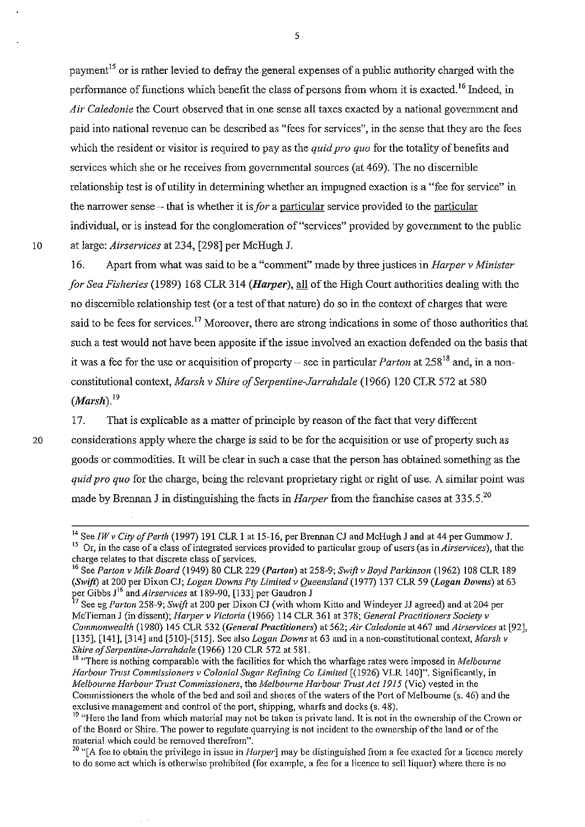payment<sup>15</sup> or is rather levied to defray the general expenses of a public authority charged with the performance of functions which benefit the class of persons from whom it is exacted.<sup>16</sup> Indeed, in *Air Caledonie* the Court observed that in one sense all taxes exacted by a national government and paid into national revenue can be described as "fees for services", in the sense that they are the fees which the resident or visitor is required to pay as the *quid pro quo* for the totality of benefits and services which she or he receives from govermnental sources (at 469). The no discernible relationship test is of utility in determining whether an impugned exaction is a "fee for service" in the narrower sense - that is whether it is *for* a particular service provided to the particular individual, or is instead for the conglomeration of "services" provided by govermnent to the public 10 at large: *Airservices* at 234, [298] per McHugh J.

16. Apart from what was said to be a "comment" made by three justices in *Harper* v *Minister for Sea Fisheries* (1989) 168 CLR 314 *(Harper)*, all of the High Court authorities dealing with the no discernible relationship test (or a test of that nature) do so in the context of charges that were said to be fees for services.<sup>17</sup> Moreover, there are strong indications in some of those authorities that such a test would not have been apposite if the issue involved an exaction defended on the basis that it was a fee for the use or acquisition of property – see in particular *Parton* at  $258^{18}$  and, in a nonconstitutional context, *Marsh v Shire of Serpentine-Jarrahdale* (1966) 120 CLR 572 at 580  $(Marsh)^{19}$ 

17. That is explicable as a matter of principle by reason of the fact that very different 20 considerations apply where the charge is said to be for the acquisition or use of property such as goods or commodities. It will be clear in such a case that the person has obtained something as the *quid pro quo* for the charge, being the relevant proprietary right or right of use. A similar point was made by Brennan J in distinguishing the facts in *Harper* from the franchise cases at 335.5.<sup>20</sup>

20 "[A fee to obtain the privilege in issue in *Harper]* may be distinguished from a fee exacted for a licence merely to do some act which is otherwise prohibited (for example, a fee for a licence to sell liquor) where there is no

<sup>14</sup>*SeeIWv City of Perth* (1997) 191 CLR 1 at 15-16, per Brennan CJ and McHugh J and at 44 per Gummow J. **<sup>15</sup>Or, in the case ofa class** of integrated **services provided to particular group** of users **(as** in *Airservices),* **that the**  charge relates to that discrete class of services.

<sup>16</sup> See *Parton* v *Milk Board* (1949) 80 CLR 229 *(Parton)* at 258-9; *Swift* v *Boyd Parkinson* (1962) 108 CLR 189 *(Swift)* at 200 per Dixon CJ; *Logan Downs Pty Limited* v *Queensland* (1977) 137 CLR 59 *(Logan Downs)* at 63 per Gibbs J16 and *Airservices* at 189-90, [133] per Gaudron J

<sup>17</sup> See eg *Parton* 258-9; *Swift* at 200 per Dixon CJ (with whom Kitto and Windeyer JJ agreed) and at 204 per McTiernan J (in dissent); *Harper* v *Victoria* (1966) 114 CLR 361 at 378; *General Practitioners Society* v *Commonwealth* (1980) 145 CLR 532 *(General Practitioners)* at 562; *Air Caledonie* at 467 and *Airservices* at [92], [135], [141], [314] and [510]-[515]. See also *Logan Downs* at 63 and in a non-constitutional context, *Marsh* v *Shire of Serpentine-Jarrahdale* (1966) 120 CLR 572 at 581.

**<sup>18</sup>"There is nothing comparable with the facilities for which the wharfage rates were imposed in** *Melbourne Harbour Trust Commissioners* v *Colonial Sugar Refining Co Limited* [(1926) VLR 140]". Significantly, in *Melbourne Harbour Trust Commissioners,* the *Melbourne Harbour Trust Act* 1915 (Vic) vested in the Commissioners the whole of the bed and soil and shores ofthe waters of the Port of Melbourne (s. 46) and the exclusive management and control of the port, shipping, wharfs and docks (s. 48).

<sup>&</sup>lt;sup>19</sup> "Here the land from which material may not be taken is private land. It is not in the ownership of the Crown or ofthe Board or Shire. The power to regulate quarrying is not incident to the ownership of the land or of the **material which could be removed therefrom".**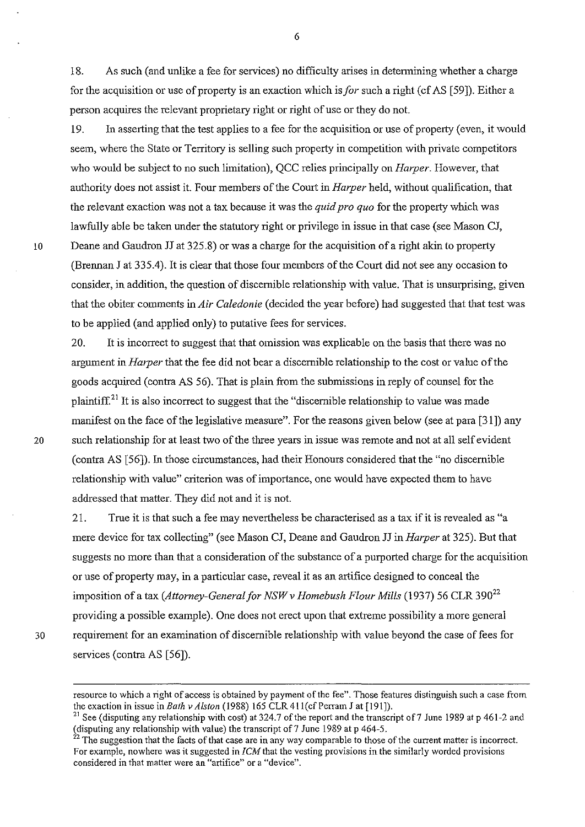18. As such (and unlike a fee for services) no difficulty arises in detennining whether a charge for the acquisition or use of property is an exaction which *isfor* such a right (cf AS [59]). Either a person acquires the relevant proprietary right or right of use or they do not.

6

19. In asserting that the test applies to a fee for the acquisition or use of property (even, it would seem, where the State or Territory is selling such property in competition with private competitors who would be subject to no such limitation), QCC relies principally on *Harper.* However, that authority does not assist it. Four members of the Court in *Harper* held, without qualification, that the relevant exaction was not a tax because it was the *quid pro quo* for the property which was lawfully able be taken under the statutory right or privilege in issue in that case (see Mason CJ, 10 Deane and Gaudron JJ at 325.8) or was a charge for the acquisition of a right akin to property (Brennan J at 335.4). It is clear that those four members of the Court did not see any occasion to consider, in addition, the question of discernible relationship with value. That is unsurprising, given that the obiter comments in *Air Caledonie* (decided the year before) had suggested that that test was to be applied (and applied only) to putative fees for services.

20. It is incorrect to suggest that that omission was explicable on the basis that there was no argument in *Harper* that the fee did not bear a discernible relationship to the cost or value of the goods acquired (contra AS 56). That is plain from the submissions in reply of counsel for the plaintiff.<sup>21</sup> It is also incorrect to suggest that the "discernible relationship to value was made manifest on the face of the legislative measure". For the reasons given below (see at para [31]) any 20 such relationship for at least two of the three years in issue was remote and not at all self evident (contra AS [56]). In those circumstances, had their Honours considered that the "no discernible relationship with value" criterion was of importance, one would have expected them to have addressed that matter. They did not and it is not.

21. True it is that such a fee may nevertheless be characterised as a tax if it is revealed as "a mere device for tax collecting" (see Mason CJ, Deane and Gaudron JJ in *Harper* at 325). But that suggests no more than that a consideration of the substance of a purported charge for the acquisition or use of property may, in a particular case, reveal it as an artifice designed to conceal the imposition of a tax *(Attorney-General for NSW v Homebush Flour Mills (1937)* 56 CLR 390<sup>22</sup> providing a possible example). One does not erect upon that extreme possibility a more general 30 requirement for an examination of discernible relationship with value beyond the case of fees for services (contra AS [56]).

**resource to which a right of access is obtained by payment** of the **fee". Those features distinguish such a case from**  the exaction in issue in *Bath v Alslon* (1988) 165 CLR 411(cf Perram J at [191]).

<sup>&</sup>lt;sup>21</sup> See (disputing any relationship with cost) at 324.7 of the report and the transcript of 7 June 1989 at p 461-2 and (disputing any relationship with value) the transcript of  $7$  June 1989 at p 464-5.

<sup>&</sup>lt;sup>22</sup> The suggestion that the facts of that case are in any way comparable to those of the current matter is incorrect. **For example, nowhere was it suggested in [CM that the vesting provisions in the similarly worded provisions considered in that matter were an "artifice" or a "device".**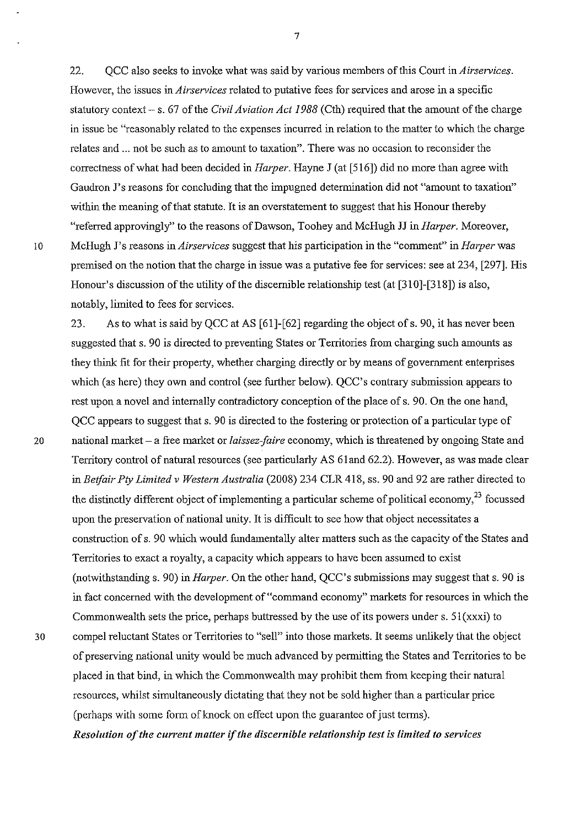22. QCC also seeks to invoke what was said by various members of this Court in *Airservices.*  However, the issues in *Airservices* related to putative fees for services and arose in a specific statutory context - s. 67 of the *Civil Aviation Act 1988* (Cth) required that the amount of the charge in issue be "reasonably related to the expenses incurred in relation to the matter to which the charge relates and ... not be such as to amount to taxation". There was no occasion to reconsider the correctness of what had been decided in *Ha/per.* Hayne J (at [516]) did no more than agree with Gaudron J's reasons for concluding that the impugned determination did not "amount to taxation" within the meaning of that statute. It is an overstatement to suggest that his Honour thereby "referred approvingly" to the reasons ofDawson, Toohey and McHugh JJ in *Harper.* Moreover, 10 McHugh J's reasons in *Airservices* suggest that his participation in the "comment" in *Harper* was premised on the notion that the charge in issue was a putative fee for services: see at 234, [297]. His Honour's discussion of the utility of the discernible relationship test (at [310]-[318]) is also, notably, limited to fees for services.

23. As to what is said by QCC at AS [61]-[62] regarding the object of s. 90, it has never been suggested that s. 90 is directed to preventing States or Territories from charging such amounts as they think fit for their property, whether charging directly or by means of government enterprises which (as here) they own and control (see further below). QCC's contrary submission appears to rest upon a novel and internally contradictory conception of the place of s. 90. On the one hand, QCC appears to suggest that s. 90 is directed to the fostering or protection of a particular type of 20 national market - a free market or *laissez-faire* economy, which is threatened by ongoing State and Territory control of natural resources (see particularly AS 61and 62.2). However, as was made clear in *Betfair Pty Limited* v *Western Australia* (2008) 234 CLR 418, ss. 90 and 92 are rather directed to the distinctly different object of implementing a particular scheme of political economy,  $^{23}$  focussed upon the preservation of national unity. It is difficult to see how that object necessitates a construction of s. 90 which would fundamentally alter matters such as the capacity of the States and Territories to exact a royalty, a capacity which appears to have been assumed to exist (notwithstanding s. 90) in *Harper.* On the other hand, QCC's submissions may suggest that s. 90 is in fact concerned with the development of "command economy" markets for resources in which the Commonwealth sets the price, perhaps buttressed by the use of its powers under s. 51(xxxi) to 30 compel reluctant States or Territories to "sell" into those markets. It seems unlikely that the object of preserving national unity would be much advanced by permitting the States and Territories to be placed in that bind, in which the Commonwealth may prohibit them from keeping their natural resources, whilst simultaneously dictating that they not be sold higher than a particular price (perhaps with some form of knock on effect upon the guarantee of just terms). *Resolution of the current matter* if *the discemible relationship test* is *limited to services*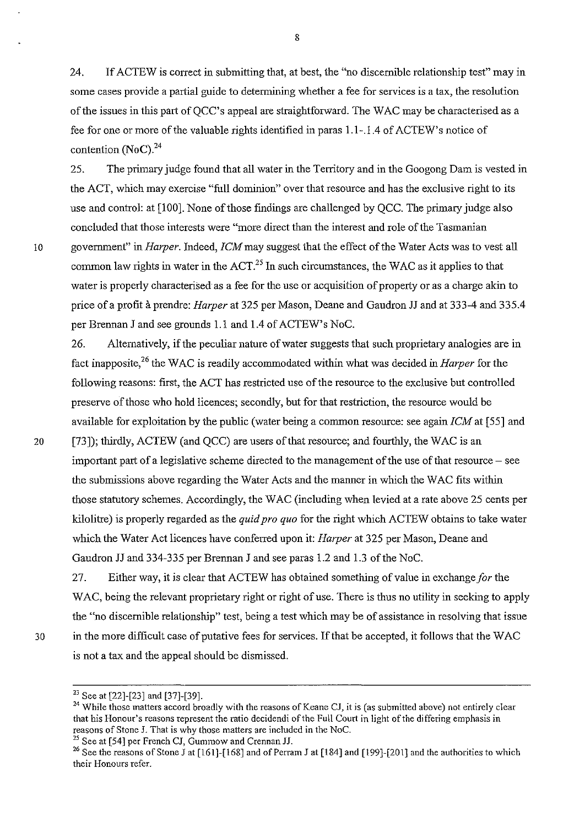24. If ACTEW is correct in submitting that, at best, the "no discernible relationship test" may in some cases provide a partial guide to detennining whether a fee for services is a tax, the resolution of the issues in this part of QCC's appeal are straightforward. The WAC may be characterised as a fee for one or more of the valuable rights identified in paras 1.1-.1.4 of ACTEW's notice of contention  $(N_0C)^{24}$ 

25. The primary judge found that all water in the Territory and in the Googong Dam is vested in the ACT, which may exercise "full dominion" over that resource and has the exclusive right to its use and control: at [100]. None of those findings are challenged by QCC. The primary judge also concluded that those interests were "more direct than the interest and role of the Tasmanian 10 government" in *Harper.* Indeed, *ICM* may suggest that the effect of the Water Acts was to vest all common law rights in water in the  $ACT<sup>25</sup>$  In such circumstances, the WAC as it applies to that water is properly characterised as a fee for the use or acquisition of property or as a charge akin to price of a profit a prendre: *Harper* at 325 per Mason, Deane and Gaudron JJ and at 333-4 and 335.4 per Brennan J and see grounds 1.1 and 1.4 of ACTEW's NoC.

26. Alternatively, if the peculiar nature of water suggests that such proprietary analogies are in fact inapposite,26 the W AC is readily accommodated within what was decided in *Harper* for the following reasons: first, the ACT has restricted use of the resource to the exclusive but controlled preserve ofthose who hold licences; secondly, but for that restriction, the resource would be available for exploitation by the public (water being a common resource: see again *ICM* at [55] and 20 [73]); thirdly, ACTEW (and QCC) are users of that resource; and fourthly, the WAC is an important part of a legislative scheme directed to the management of the use of that resource – see the subrnissions above regarding the Water Acts and the manner in which the W AC fits within

those statutory schemes. Accordingly, the W AC (including when levied at a rate above 25 cents per kilolitre) is properly regarded as the *quid pro quo* for the right which ACTEW obtains to take water which the Water Act licences have conferred upon it: *Harper* at 325 per Mason, Deane and Gaudron JJ and 334-335 per Brennan J and see paras 1.2 and 1.3 of the NoC.

27. Either way, it is clear that ACTEW has obtained something of value in exchange *for* the WAC, being the relevant proprietary right or right of use. There is thus no utility in seeking to apply the "no discernible relationship" test, being a test which may be of assistance in resolving that issue 30 in the more difficult case of putative fees for services. If that be accepted, it follows that the W AC is not a tax and the appeal should be dismissed.

 $^{25}$  See at [54] per French CJ, Gummow and Crennan JJ.

<sup>23</sup> See at [22]-[23] and [37]-[39].

<sup>&</sup>lt;sup>24</sup> While those matters accord broadly with the reasons of Keane CJ, it is (as submitted above) not entirely clear **that his Honour's reasons represent the ratio decidendi** of the **Full Court in light** of the **differing emphasis in**  reasons of Stone J. That is why those matters are included in the NoC.

<sup>&</sup>lt;sup>26</sup> See the reasons of Stone J at [161]-[168] and of Perram J at [184] and [199]-[201] and the authorities to which **their Honours refer.**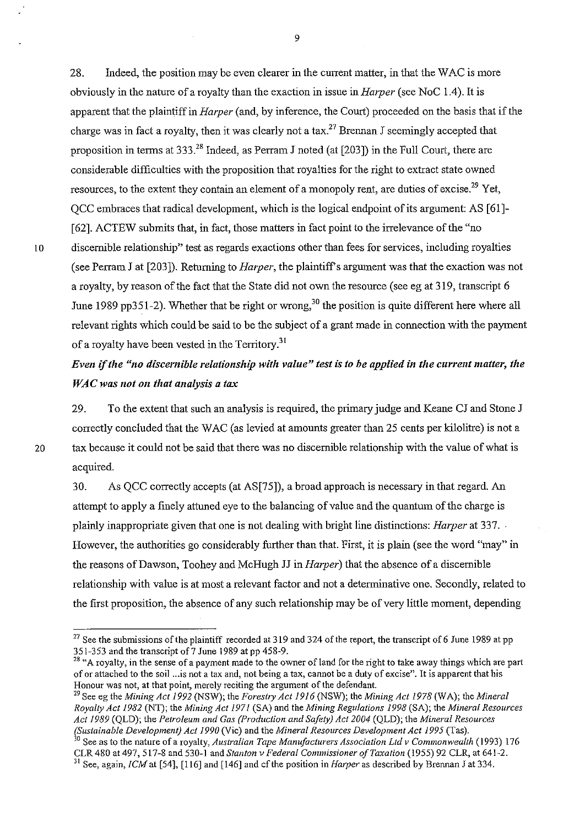28. Indeed, the position may be even clearer in the current matter, in that the WAC is more obviously in the nature of a royalty than the exaction in issue in *Ha/per* (see NoC 1.4). It is apparent that the plaintiff in *Harper* (and, by inference, the Court) proceeded on the basis that if the charge was in fact a royalty, then it was clearly not a tax.<sup>27</sup> Brennan J seemingly accepted that proposition in terms at  $333^{28}$  Indeed, as Perram J noted (at [203]) in the Full Court, there are considerable difficulties with the proposition that royalties for the right to extract state owned resources, to the extent they contain an element of a monopoly rent, are duties of excise.<sup>29</sup> Yet, QCC embraces that radical development, which is the logical endpoint of its argument: AS [61]- [62]. ACTEW submits that, in fact, those matters in fact point to the irrelevance of the "no ID discernible relationship" test as regards exactions other than fees for services, including royalties (see Perram J at [203]). Returning to *Harper,* the plaintiffs argument was that the exaction was not a royalty, by reason of the fact that the State did not own the resource (see eg at 319, transcript 6 June 1989 pp351-2). Whether that be right or wrong,<sup>30</sup> the position is quite different here where all relevant rights which could be said to be the subject of a grant made in connection with the payment of a royalty have been vested in the Territory.<sup>31</sup>

*Even* if *the "no discernible relationship with value" test is to be applied in the current matter, the WAC* was not on that analysis a tax

29. To the extent that such an analysis is required, the primary judge and Keane CJ and Stone J correctly concluded that the WAC (as levied at amounts greater than 25 cents per kilolitre) is not a 20 tax because it could not be said that there was no discernible relationship with the value of what is acquired.

30. As QCC correctly accepts (at AS[75]), a broad approach is necessary in that regard. An attempt to apply a finely attuned eye to the balancing of value and the quantum of the charge is plainly inappropriate given that one is not dealing with bright line distinctions: *Harper* at 337. However, the authorities go considerably further than that. First, it is plain (see the word "may" in the reasons ofDawson, Toohey and McHugh JJ in *Harper)* that the absence ofa discernible relationship with value is at most a relevant factor and not a detenninative one. Secondly, related to the first proposition, the absence of any such relationship may be of very little moment, depending

<sup>&</sup>lt;sup>27</sup> See the submissions of the plaintiff recorded at 319 and 324 of the report, the transcript of 6 June 1989 at pp 351-353 and the transcript of? June 1989 at pp 458-9.

<sup>&</sup>lt;sup>28</sup> "A royalty, in the sense of a payment made to the owner of land for the right to take away things which are part **of or attached to the soil ... 1s not a tax and, not being a tax, cannot be a duty of excise". It is apparent that his Honour was not, at that point, merely reciting the argument of the defendant.** 

<sup>&</sup>lt;sup>29</sup> See eg the *Mining Act 1992* (NSW); the *Forestry Act 1916* (NSW); the *Mining Act 1978* (WA); the *Mineral Royalty Act* 1982 (NT); the *Mining Act 1971* (SA) and the *Mining Regulations* 1998 (SA); the *Mineral Resources Act* 1989 (QLD); the *Petroleum and Gas (Production and Safety) Act 2004* (QLD); the *Mineral Resources (Sustainable Development) Act 1990* (Vic) and the *Mineral Resources Development Act* 1995 (Tas).

<sup>&</sup>lt;sup>30</sup> See as to the nature of a royalty, *Australian Tape Manufacturers Association Ltd v Commonwealth* (1993) 176 CLR 480 at 497,517-8 and 530-1 and *Slan/on* v *Federal Commissioner of Taxation* (1955) 92 CLR, at 641-2.

<sup>31</sup> See, again, *[CM* at [54], [116] and [146] and cfthe position in *Harper* as described by Brennan J at 334.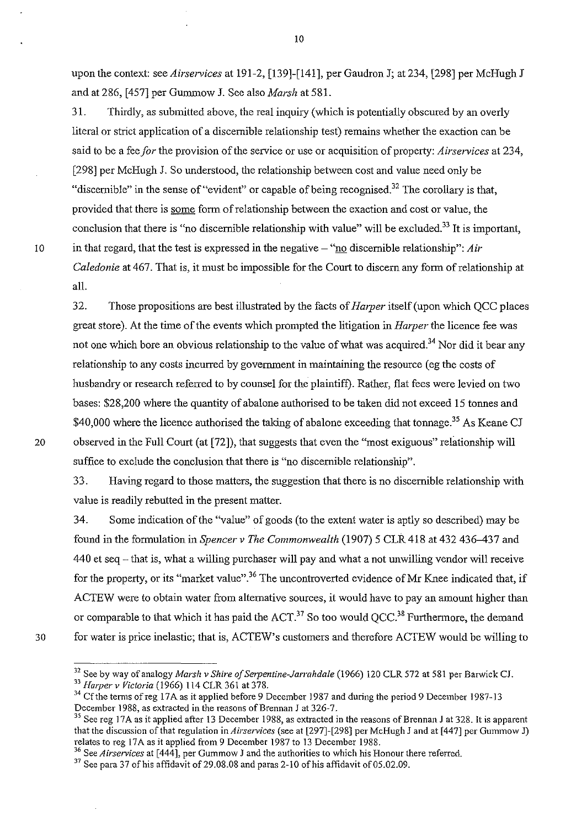upon the context: see *Airservices* at 191-2, [139]-[141], per Gaudron J; at 234, [298] per McHugh J and at 286, [457] per Gummow J. See also *Marsh* at 581.

31. Thirdly, as submitted above, the real inquiry (which is potentially obscured by an overly literal or strict application of a discernible relationship test) remains whether the exaction can be said to be a fee *for* the provision of the service or use or acquisition of property: *Airservices* at 234, [298] per McHugh J. So understood, the relationship between cost and value need only be "discernible" in the sense of "evident" or capable of being recognised.<sup>32</sup> The corollary is that, provided that there is some form of relationship between the exaction and cost or value, the conclusion that there is "no discernible relationship with value" will be excluded.<sup>33</sup> It is important, 10 in that regard, that the test is expressed in the negative - "no discernible relationshlp": *Air Caledonie* at 467. That is, it must be impossible for the Court to discern any form of relationship at all.

32. Those propositions are best illustrated by the facts of *Harper* itself (upon which QCC places great store). At the time of the events which prompted the litigation in *Harper* the licence fee was not one which bore an obvious relationship to the value of what was acquired.<sup>34</sup> Nor did it bear any relationship to any costs incurred by government in maintaining the resource (eg the costs of husbandry or research referred to by counsel for the plaintiff). Rather, flat fees were levied on two bases: \$28,200 where the quantity of abalone authorised to be taken did not exceed 15 tonnes and \$40,000 where the licence authorised the taking of abalone exceeding that tonnage.<sup>35</sup> As Keane CJ 20 observed in the Full Court (at [72]), that suggests that even the "most exiguous" relationship will suffice to exclude the conclusion that there is "no discernible relationship".

33. Having regard to those matters, the suggestion that there is no discernible relationship with value is readily rebutted in the present matter.

34. Some indication of the "value" of goods (to the extent water is aptly so described) may be found in the formulation in *Spencer* v *The Commonwealth* (1907) 5 CLR 418 at 432 436-437 and 440 et seq - that is, what a willing purchaser will pay and what a not unwilling vendor will receive for the property, or its "market value".<sup>36</sup> The uncontroverted evidence of Mr Knee indicated that, if ACTEW were to obtain water from alternative sources, it would have to pay an amount higher than or comparable to that which it has paid the  $ACT.^{37}$  So too would  $OCC.^{38}$  Furthermore, the demand 30 for water is price inelastic; that is, ACTEW's customers and therefore ACTEW would be willing to

<sup>32</sup> See by way of analogy *Marsh* v *Shire of Serpentine-Jarrahdale* (1966) 120 CLR 572 at 581 per Barwick CL

*<sup>33</sup> Harper* v *Victoria* (1966) 114 CLR 361 at 378.

<sup>&</sup>lt;sup>34</sup> Cf the terms of reg 17A as it applied before 9 December 1987 and during the period 9 December 1987-13 December 1988, as extracted in the reasons of Brennan J at 326-7.

<sup>&</sup>lt;sup>35</sup> See reg 17A as it applied after 13 December 1988, as extracted in the reasons of Brennan J at 328. It is apparent that the discussion ofthat regulation in *Airservices* (see at [297]-[298] per McHugh J and at [447] per Gummow J) relates to reg 17A as it applied from 9 December 1987 to 13 December 1988.

**<sup>36</sup> See** *A irservices* **at [444], per Gummow 1 and the authorities to which his Honour there referred.** 

 $37$  See para 37 of his affidavit of 29.08.08 and paras 2-10 of his affidavit of 05.02.09.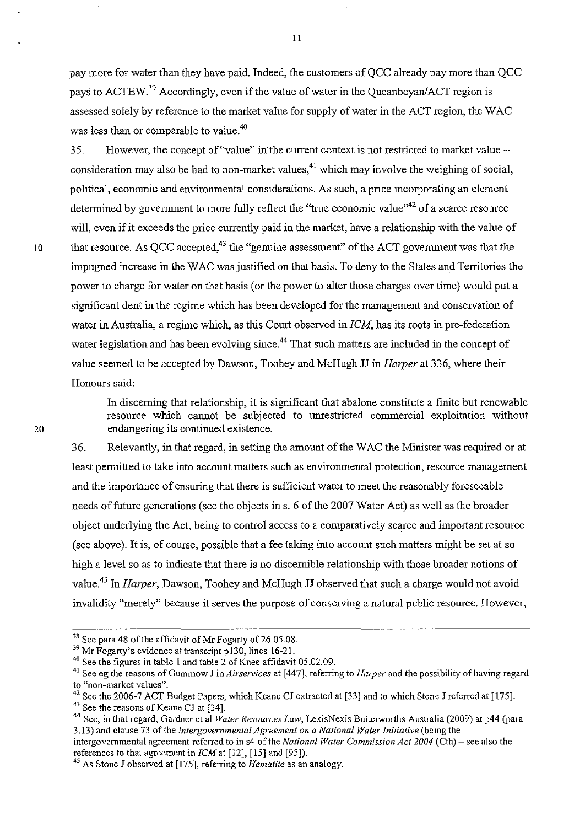pay more for water than they have paid. Indeed, the customers of QCC already pay more than QCC nays to ACTEW.<sup>39</sup> Accordingly, even if the value of water in the Queanbeyan/ACT region is assessed solely by reference to the market value for supply of water in the ACT region, the WAC was less than or comparable to value.<sup>40</sup>

35. However, the concept of "value" in the current context is not restricted to market value consideration may also be had to non-market values,<sup>41</sup> which may involve the weighing of social, political, economic and environmental considerations. As such, a price incorporating an element determined by government to more fully reflect the "true economic value"<sup>42</sup> of a scarce resource will, even if it exceeds the price currently paid in the market, have a relationship with the value of 10 that resource. As QCC accepted,<sup>43</sup> the "genuine assessment" of the ACT government was that the impugned increase in the W AC was justified on that basis. To deny to the States and Territories the power to charge for water on that basis (or the power to alter those charges over time) would put a significant dent in the regime which has been developed for the management and conservation of water in Australia, a regime which, as this Court observed in *ICM,* has its roots in pre-federation water legislation and has been evolving since.<sup>44</sup> That such matters are included in the concept of value seemed to be accepted by Dawson, Toohey and McHugh JJ in *Harper* at 336, where their Honours said:

> In discerning that relationship, it is significant that abalone constitute a finite but renewable resource which cannot be subjected to unrestricted commercial exploitation without endangering its continued existence.

36. Relevantly, in that regard, in setting the amount of the W AC the Minister was required or at least permitted to take into account matters such as environmental protection, resource management and the importance of ensuring that there is sufficient water to meet the reasonably foreseeable needs of future generations (see the objects in s. 6 of the 2007 Water Act) as well as the broader object underlying the Act, being to control access to a comparatively scarce and important resource (see above). It is, of course, possible that a fee taking into account such matters might be set at so high a level so as to indicate that there is no discernible relationship with those broader notions of value.45 In *Harper,* Dawson, Toohey and McHugh JJ observed that such a charge would not avoid invalidity "merely" because it serves the purpose of conserving a natural public resource. However,

 $38$  See para 48 of the affidavit of Mr Fogarty of 26.05.08.

<sup>&</sup>lt;sup>39</sup> Mr Fogarty's evidence at transcript p 130, lines 16-21.

<sup>40</sup> See the figures in table I and table 2 of Knee affidavit 05.02.09.

<sup>41</sup>See eg the reasons of Gummow J in *Airservices* at [447], referring to *Harper* and the possibility of having regard **to "non-market values".** 

<sup>&</sup>lt;sup>42</sup> See the 2006-7 ACT Budget Papers, which Keane CJ extracted at [33] and to which Stone J referred at [175].

<sup>&</sup>lt;sup>43</sup> See the reasons of Keane CJ at  $\overline{[34]}$ .

<sup>44</sup> See, in that regard, Gardner et al *Water Resources Law,* LexisNexis Butterworths Australia (2009) at p44 (para **3.13) and clause 73** of the *Intergovernmental Agreement on a National Water Initiative* **(being the** 

intergovernmental agreement referred to in s4 of the *National Water Commission Act 2004* (Cth) – see also the references to that agreement in  $ICM$  at [12], [15] and [95]).

<sup>45</sup> As Stone J observed at [175], referring to *Hematite* as an analogy.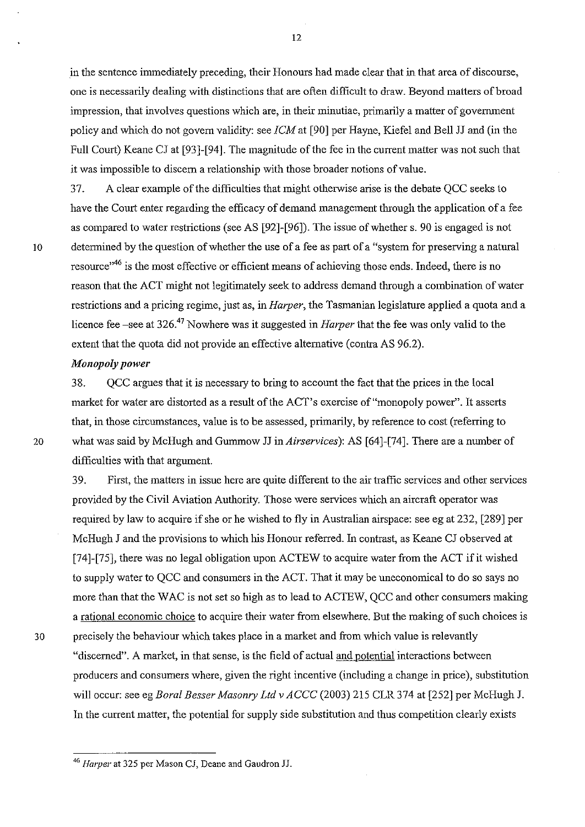in the sentence innnediately preceding, their Honours had made clear that in that area of discourse, one is necessarily dealing with distinctions that are often difficult to draw. Beyond matters of broad impression, that involves questions which are, in their minutiae, primarily a matter of govenunent policy and which do not govem validity: see *[CM* at [90] per Hayne, Kiefel and Bell JJ and (in the Full Court) Keane *Cl* at [93]-[94]. The magnitude of the fee in the current matter was not such that it was impossible to discern a relationship with those broader notions of value.

37. A clear example of the difficulties that might otherwise arise is the debate QCC seeks to have the Court enter regarding the efficacy of demand management through the application of a fee as compared to water restrictions (see AS [92]-[96]). The issue of whether s. 90 is engaged is not 10 determined by the question of whether the use of a fee as part of a "system for preserving a natural resource<sup>,46</sup> is the most effective or efficient means of achieving those ends. Indeed, there is no reason that the ACT might not legitimately seek to address demand through a combination of water restrictions and a pricing regime, just as, in *Harper*, the Tasmanian legislature applied a quota and a licence fee -see at 326.47 Nowhere was it suggested in *Harper* that the fee was only valid to the extent that the quota did not provide an effective alternative (contra AS 96.2).

### *Monopoly power*

38. QCC argues that it is necessary to bring to account the fact that the prices in the local market for water are distorted as a result of the ACT's exercise of "monopoly power". It asserts that, in those circumstances, value is to be assessed, primarily, by reference to cost (referring to 20 what was said by McHugh and Gunnnow JJ in *Airservices):* AS [64]-[74]. There are a number of difficulties with that argument.

39. First, the matters in issue here are quite different to the air traffic services and other services provided by the Civil Aviation Authority. Those were services which an aircraft operator was required by law to acquire if she or he wished to fly in Australian airspace: see eg at 232, [289] per McHugh *1* and the provisions to which his Honour referred. In contrast, as Keane *Cl* observed at [74]-[75], there was no legal obligation upon ACTEW to acquire water from the ACT if it wished to supply water to QCC and consumers in the ACT. That it may be uneconomical to do so says no more than that the WAC is not set so high as to lead to ACTEW, QCC and other consumers making a rational economic choice to acquire their water from elsewhere. But the making of such choices is 30 precisely the behaviour which takes place in a market and from which value is relevantly "discerned". A market, in that sense, is the field of actual and potential interactions between producers and consumers where, given the right incentive (including a change in price), substitution will occur: see eg *Boral Besser Masonry Ltd v ACCC* (2003) 215 CLR 374 at [252] per McHugh J.

In the current matter, the potential for supply side substitution and thus competition clearly exists

<sup>46</sup> *Harper* at 325 per Mason CJ, Deane and Gaudron JJ.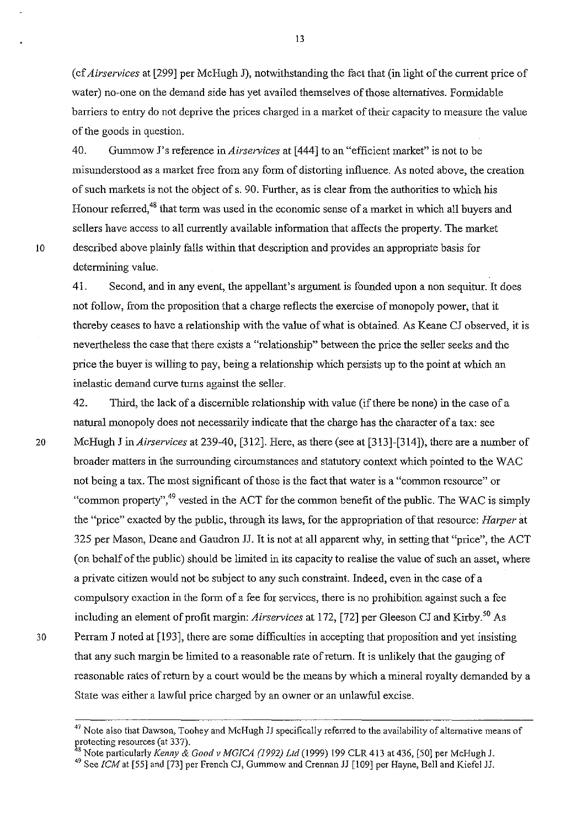(cf *AiI'services* at [299] per McHugh J), notwithstanding the fact that (in light of the current price of water) no-one on the demand side has yet availed themselves of those alternatives. Formidable barriers to entry do not deprive the prices charged in a market of their capacity to measure the value of the goods in question.

40. Gummow J's reference in *Airservices* at [444] to an "efficient market" is not to be misunderstood as a market free from any fonn of distorting influence. As noted above, the creation of such markets is not the object of s. 90. Further, as is clear from the authorities to which his Honour referred.<sup>48</sup> that term was used in the economic sense of a market in which all buyers and sellers have access to all currently available information that affects the property. The market 10 described above plainly falls within that description and provides an appropriate basis for determining value.

41. Second, and in any event, the appellant's argument is founded upon a non sequitur. It does not follow, from the proposition that a charge reflects the exercise of monopoly power, that it thereby ceases to have a relationship with the value of what is obtained. As Keane CJ observed, it is nevertheless the case that there exists a "relationship" between the price the seller seeks and the price the buyer is willing to pay, being a relationship which persists up to the point at which an inelastic demand curve turns against the seller.

42. Third, the lack of a discernible relationship with value (if there be none) in the case of a natural monopoly does not necessarily indicate that the charge has the character of a tax: see 20 McHugh J in *Airservices* at 239-40, [312]. Here, as there (see at [313]-[314]), there are a number of broader matters in the surrounding circumstances and statutory context which pointed to the WAC not being a tax. The most significant of those is the fact that water is a "common resource" or "common property",<sup>49</sup> vested in the ACT for the common benefit of the public. The WAC is simply the "price" exacted by the public, through its laws, for the appropriation of that resource: *Harper* at 325 per Mason, Deane and Gaudron JJ. It is not at all apparent why, in setting that "price", the ACT (on behalf of the public) should be limited in its capacity to realise the value of such an asset, where a private citizen would not be subject to any such constraint. Indeed, even in the case of a compulsory exaction in the form of a fee for services, there is no prohibition against such a fee including an element of profit margin: *Airservices* at 172, [72] per Gleeson CJ and Kirby.<sup>50</sup> As 30 Perram J noted at [193], there are some difficulties in accepting that proposition and yet insisting that any such margin be limited to a reasonable rate of return. It is unlikely that the gauging of reasonable rates of return by a court would be the means by which a mineral royalty demanded by a State was either a lawful price charged by an owner or an unlawful excise.

 $47$  Note also that Dawson, Toohey and McHugh JJ specifically referred to the availability of alternative means of protecting resources (at 337).

<sup>48</sup> Note particularly *Kenny* & *Good v MGICA* (1992) *Lld* (1999) 199 CLR413 at 436, [50] per McHugh *l.* 

<sup>49</sup> See *[CM* at [55] and [73] per French *Cl,* Gummow and Crennan 11 [109] per Hayne, Bell and Kiefel JJ.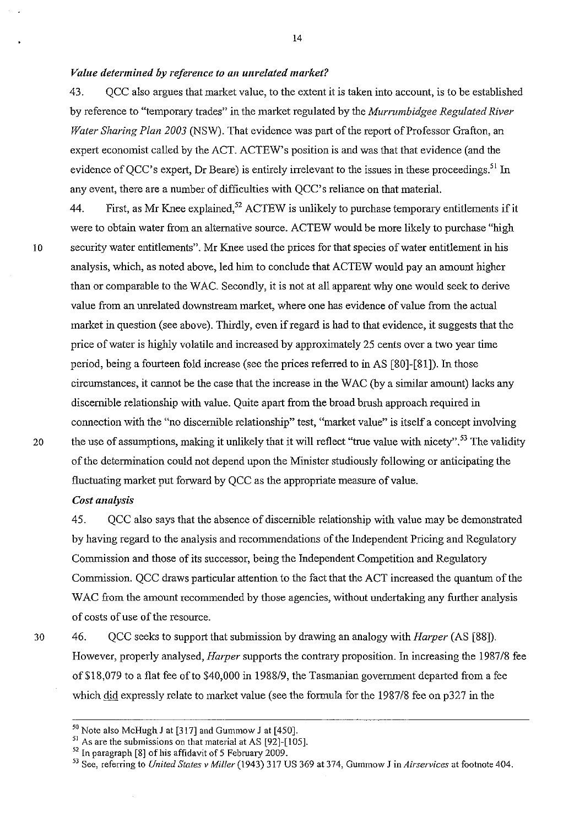### *Value determined by reference to an unrelated market?*

43. QCC also argues that market value, to the extent it is taken into account, is to be established by reference to "temporary trades" in the market regulated by the *Murrumbidgee Regulated River Water Sharing Plan 2003* (NSW). That evidence was part of the report of Professor Grafton, an expert economist called by the ACT. ACTEW's position is and was that that evidence (and the evidence of OCC's expert, Dr Beare) is entirely irrelevant to the issues in these proceedings.<sup>51</sup> In any event, there are a number of difficulties with QCC's reliance on that material.

44. First, as Mr Knee explained,<sup>52</sup> ACTEW is unlikely to purchase temporary entitlements if it were to obtain water from an alternative source. ACTEW would be more likely to purchase "high 10 security water entitlements". Mr Knee used the prices for that species of water entitlement in his analysis, which, as noted above, led him to conclude that ACTEW would pay an amount higher than or comparable to the W AC. Secondly, it is not at all apparent why one would seek to derive value from an unrelated downstream market, where one has evidence of value from the actual market in question (see above). Thirdly, even if regard is had to that evidence, it suggests that the price of water is highly volatile and increased by approximately 25 cents over a two year time period, being a fourteen fold increase (see the prices referred to in AS [80]-[81]). In those circumstances, it cannot be the case that the increase in the W AC (by a similar amount) lacks any discernible relationship with value. Quite apart from the broad brush approach required in connection with the "no discernible relationship" test, "market value" is itself a concept involving 20 the use of assumptions, making it unlikely that it will reflect "true value with nicety".<sup>53</sup> The validity ofthe determination could not depend upon the Minister studiously following or anticipating the fluctuating market put forward by QCC as the appropriate measure of value.

## *Cost analysis*

45. QCC also says that the absence of discernible relationship with value may be demonstrated by having regard to the analysis and recommendations of the Independent Pricing and Regulatory Commission and those of its successor, being the Independent Competition and Regulatory Commission. QCC draws particular attention to the fact that the ACT increased the quantum of the WAC from the amount recommended by those agencies, without undertaking any further analysis of costs of lIse of the resource.

30

46. QCC seeks to support that submission by drawing an analogy with *Harper* (AS [88]). However, properly analysed, *Harper* supports the contrary proposition. In increasing the 1987/8 fee of \$18,079 to a flat fee of to \$40,000 in 1988/9, the Tasmanian government departed from a fee which did expressly relate to market value (see the formula for the 1987/8 fee on p327 in the

<sup>50</sup> Note also McHugh J at [317] and Gummow J at [450].

<sup>&</sup>lt;sup>51</sup> As are the submissions on that material at AS [92]-[105].

<sup>52</sup> In paragraph [8] of his affidavit of 5 February 2009.

<sup>53</sup> See, referring to *United States v Miller* (1943) 317 US 369 at 374, Gummow J in *Airservices* at footnote 404.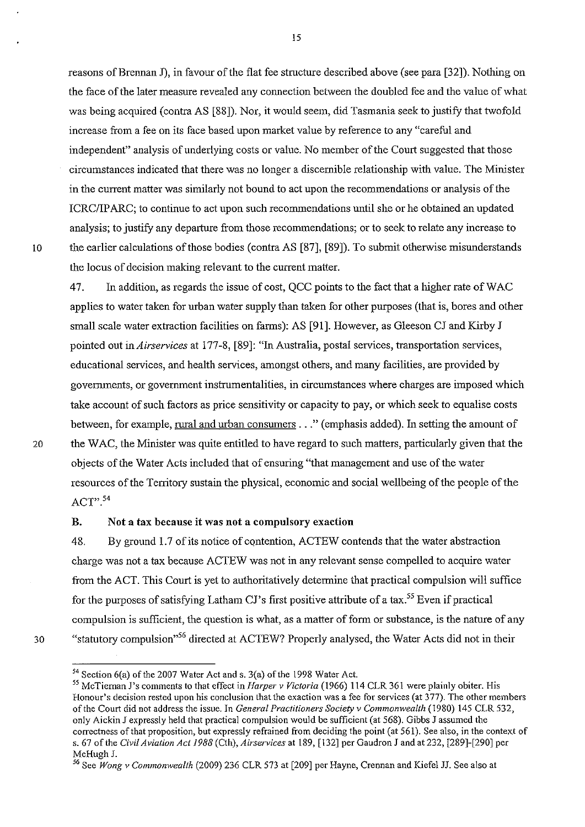reasons of Brennan J), in favour of the flat fee structure described above (see para [32]). Nothing on the face of the later measure revealed any connection between the doubled fee and the value of what was being acquired (contra AS [88]). Nor, it would seem, did Tasmania seek to justify that twofold increase from a fee on its face based upon market value by reference to any "careful and independent" analysis of underlying costs or value. No member of the Court suggested that those circumstances indicated that there was no longer a discernible relationship with value. The Minister in the current matter was similarly not bound to act upon the recommendations or analysis of the ICRC/IP ARC; to continue to act upon such recommendations until she or he obtained an updated analysis; to justify any departure from those recommendations; or to seek to relate any increase to 10 the earlier calculations of those bodies (contra AS [87], [89]). To submit otherwise misunderstands the locus of decision making relevant to the current matter.

47. In addition, as regards the issue of cost, QCC points to the fact that a higher rate of W AC applies to water taken for urban water supply than taken for other purposes (that is, bores and other small scale water extraction facilities on farms): AS [91]. However, as Gleeson CJ and Kirby J pointed out in *Airservices* at 177-8, [89]: "In Australia, postal services, transportation services, educational services, and health services, amongst others, and many facilities, are provided by governments, or government instrumentalities, in circumstances where charges are imposed which take account of such factors as price sensitivity or capacity to pay, or which seek to equalise costs between, for example, rural and urban consumers ... " (emphasis added). In setting the amount of 20 the W AC, the Minister was quite entitled to have regard to such matters, particularly given that the objects of the Water Acts included that of ensuring "that management and use of the water resources of the Territory sustain the physical, economic and social wellbeing of the people of the  $ACT"$ .  $54$ 

#### B. Not a tax because it was not a compulsory exaction

48. By ground 1.7 of its notice of contention, ACTEW contends that the water abstraction charge was not a tax because ACTEW was not in any relevant sense compelled to acquire water from the ACT. This Court is yet to authoritatively determine that practical compulsion will suffice for the purposes of satisfying Latham CJ's first positive attribute of a tax.<sup>55</sup> Even if practical compulsion is sufficient, the question is what, as a matter of fonn or substance, is the nature of any 30 "statutory compulsion"<sup>56</sup> directed at ACTEW? Properly analysed, the Water Acts did not in their

<sup>54</sup> Section 6(a) of the 2007 Water Act and s. 3(a) of the 1998 Water Act.

<sup>55</sup> McTieman J's comments to that effect in *Harper* v *Victoria* (1966) 114 CLR 361 were plainly obiter. His Honour's decision rested upon his conclusion that the exaction was a fee for services (at 377). The other members of the Court did not address the issue. In *General Practitioners Society* v *Commonwealth* (1980) 145 CLR 532, only Aickin J expressly held that practical compulsion would be sufficient (at 568). Gibbs J assumed the correctness of that proposition, but expressly refrained from deciding the point (at 561). See also, in the context of s. 67 of the *Civil Aviation Act* /988 (Cth), *Airservices* at 189, [132] per Gaudron J and at 232, [289]-[290] per McHugh J.

<sup>56</sup> See *Wong* v *Commonwealth* (2009) 236 CLR 573 at [209] per Hayne, Crennan and Kiefel JJ. See also at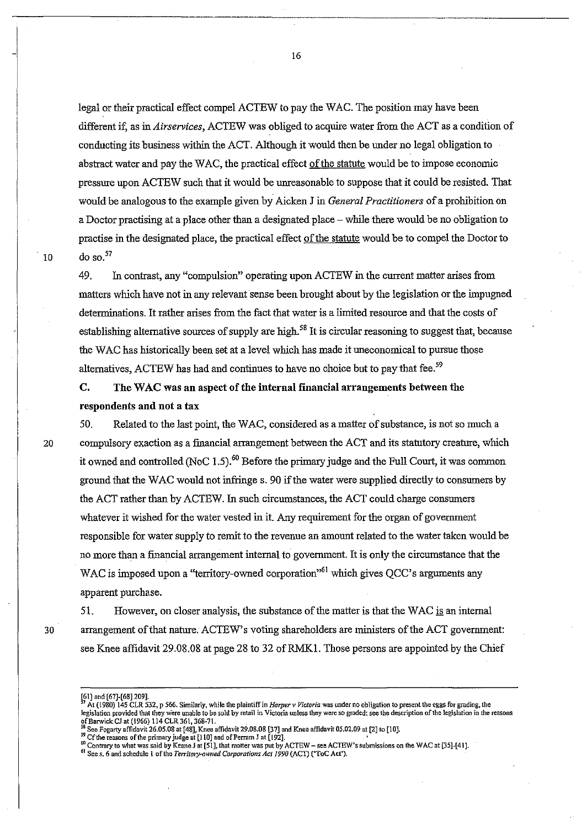legal or their practical effect compel ACTEW to pay the WAC. The position may have been different if, as in *Airservices,* ACTEW was obliged to acquire water from the ACT as a condition of conducting its business within the ACT. Although it would then be under no legal obligation to abstract water and pay the WAC, the practical effect of the statute would be to impose economic pressure upon ACTEW such that it would be unreasonable to suppose that it could be resisted That would be analogous to the example given by Aicken J in *General Practitioners* of a prohibition on a Doctor practising at a place other than a designated place – while there would be no obligation to practise in the designated place, the practical effect of the statute would be to compel the Doctor to 10 do so.<sup>57</sup>

49. In contrast, any "compulsion" operating upon ACTEW in the current matter arises from matters which have not in any relevant sense been brought about by the legislation or the impugned determinations. It rather arises from the fact that water is a limited resource and that the costs of establishing alternative sources of supply are high.<sup>58</sup> It is circular reasoning to suggest that, because the W AC has historically been set at a level which has made it uneconomical to pursue those alternatives, ACTEW has had and continues to have no choice but to pay that fee.<sup>59</sup>

# C. The WAC was an aspect of the internal financial arrangements between the respondents and not a tax

50. Related to the last point, the WAC, considered as a matter of substance, is not so much a 20 compulsory exaction as a financial arrangement between the ACT and its statutory creature, which it owned and controlled (NoC 1.5).<sup>60</sup> Before the primary judge and the Full Court, it was common ground that the WAC would not infringe s. 90 if the water were supplied directly to consumers by the ACT rather than by ACTEW. In such circumstances, the ACT could charge consumers whatever it wished for the water vested in it. Any requirement for the organ of government responsible for water supply to remit to the revenue an amount related to the water taken would be no more than a financial arrangement internal to government. It is ouly the circumstance that the WAC is imposed upon a "territory-owned corporation"<sup>61</sup> which gives QCC's arguments any apparent purchase.

51. However, on closer analysis, the substance of the matter is that the WAC is an internal 30 arrangement of that nature. ACTEW's voting shareholders are ministers of the ACT government: see Knee affidavit 29.08.08 at page 28 to 32 ofRMK1. Those persons are appointed by the Chief

See Fogarty affidavit 26.05.08 at [48], Knee affidavit 29.08.08 [37] and Knee affidavit 05.02.09 at [2] to [10].

<sup>{61</sup>J and [67J·[68J 209].

<sup>7</sup> At (1980) 145 CLR 532, P 566. Similarly, while the pJaintiffin *Harper v Victoria* was under no obligation 10 present the eggs fOf grading, the legislation provided 'that they were unable to be sold by retail in Victoria unless they were so graded: see the description of the legislation in the reasons ofBarwick *Cl* at (1966) 114 CLR 361, 368~7t.

<sup>&</sup>lt;sup>39</sup> Cf the reasons of the primary judge at [110] and of Perram J at [192].<br>60 Contrary to what was said by Keane J at [51], that matter was put by ACTEW – see ACTEW's submissions on the WAC at [35]-[41].

<sup>&</sup>lt;sup>61</sup> See s, 6 and schedule 1 of the *Territory-owned Corporations Act 1990* (ACT) ('ToC Act').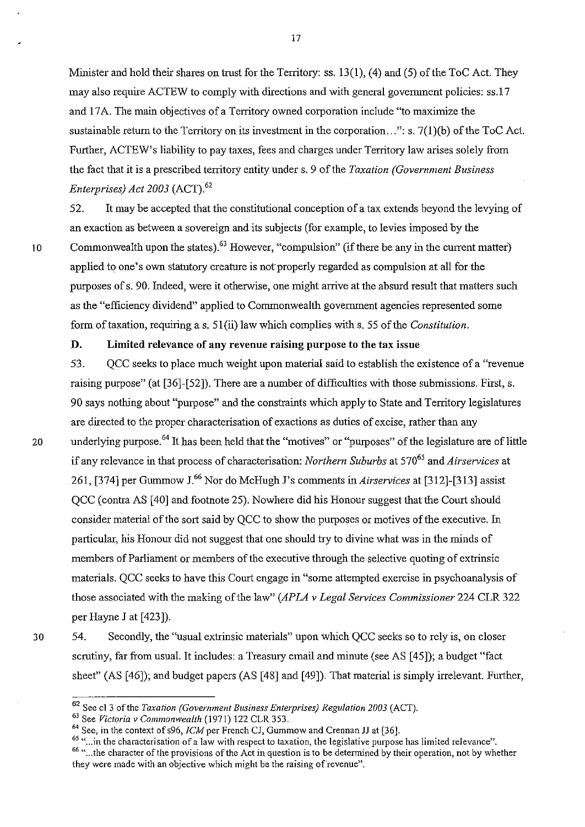Minister and hold their shares on trust for the Territory: ss. 13(1), (4) and (5) of the ToC Act. They may also require ACTEW to comply with directions and with general government policies: ss.17 and 17 A. The main objectives of a Territory owned corporation include "to maximize the sustainable return to the Territory on its investment in the corporation...": s.  $7(1)(b)$  of the ToC Act. Further, ACTEW's liability to pay taxes, fees and charges under Territory law arises solely from the fact that it is a prescribed territory entity under s. 9 of the *Taxation (Government Business Enterprises) Act 2003* (ACT).<sup>62</sup>

17

52. It may be accepted that the constitutional conception of a tax extends beyond the levying of an exaction as between a sovereign and its subjects (for example, to levies imposed by the 10 Commonwealth upon the states).<sup>63</sup> However, "compulsion" (if there be any in the current matter) applied to one's own statutory creature is not properly regarded as compulsion at all for the purposes of s. 90. Indeed, were it otherwise, one might arrive at the absurd result that matters such as the "efficiency dividend" applied to Commonwealth government agencies represented some form of taxation, requiring a s. 51(ii) law which complies with s. 55 of the *Constitution*.

## D. Limited relevance of any revenue raising purpose to the tax issue

53. QCC seeks to place much weight upon material said to establish the existence of a "revenue raising purpose" (at [36]-[52]). There are a number of difficulties with those submissions. First, s. 90 says nothing about "purpose" and the constraints which apply to State and Territory legislatures are directed to the proper characterisation of exactions as duties of excise, rather than any 20 underlying purpose.<sup>64</sup> It has been held that the "motives" or "purposes" of the legislature are of little if any relevance in that process of characterisation: *Northern Suburbs* at 57065 and *Airservices* at 261, [374] per Gummow J.66 Nor do McHugh J's comments in *Airservices* at [312]-[313] assist QCC (contra AS [40] and footnote 25). Nowhere did his Honour suggest that the Court should consider material of the sort said by QCC to show the purposes or motives of the executive. In particular, his Honour did not suggest that one should try to divine what was in the minds of members of Parliament or members of the executive through the selective quoting of extrinsic materials. QCC seeks to have this Court engage in "some attempted exercise in psychoanalysis of those associated with the making of the law" *(APLA* v *Legal Services Commissioner* 224 CLR 322 per Hayne J at [423]).

30 54. Secondly, the "usual extrinsic materials" upon which QCC seeks so to rely is, on closer scrutiny, far from usual. It includes: a Treasury email and minute (see AS [45]); a budget "fact sheet" (AS [46]); and budget papers (AS [48] and [49]). That material is simply irrelevant. Further,

<sup>62</sup> See cl 3 of the *Taxation (Government Business Enterprises) Regulation 2003* (ACT).

<sup>63</sup> See *Victoria v Commonwealth* (1971) 122 CLR353.

 $64$  See, in the context of s96, ICM per French CJ, Gummow and Crennan JJ at [36].

<sup>&</sup>lt;sup>65</sup> "...in the characterisation of a law with respect to taxation, the legislative purpose has limited relevance". <sup>66</sup> "... the character of the provisions of the Act in question is to be determined by their operation, not by whether they were made with an objective which might be the raising of revenue".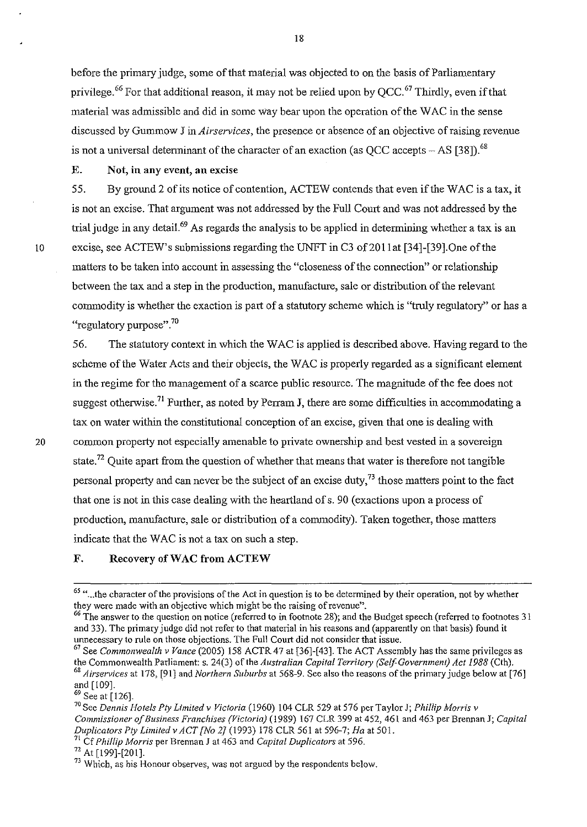before the primary judge, some of that material was objected to on the basis of Parliamentary privilege.<sup>66</sup> For that additional reason, it may not be relied upon by OCC.<sup>67</sup> Thirdly, even if that material was admissible and did in some way bear upon the operation of the W AC in the sense discussed by Gmmnow J in *Airservices,* the presence or absence of an objective of raising revenue is not a universal determinant of the character of an exaction (as OCC accepts  $-$  AS [38]).<sup>68</sup>

E. Not, in any event, an excise

55. By ground 2 of its notice of contention, ACTEW contends that even if the WAC is a tax, it is not an excise. That argument was not addressed by the Full Court and was not addressed by the trial judge in any detail.<sup>69</sup> As regards the analysis to be applied in determining whether a tax is an 10 excise, see ACTEW's submissions regarding the UNFT in C3 of201lat [34]-[39].One of the matters to be taken into account in assessing the "closeness of the connection" or relationship between the tax and a step in the production, manufacture, sale or distribution of the relevant commodity is whether the exaction is part of a statutory scheme which is "truly regulatory" or has a "regulatory purpose". $70$ 

56. The statutory context in which the W AC is applied is described above. Having regard to the scheme of the Water Acts and their objects, the WAC is properly regarded as a significant element in the regime for the management of a scarce public resource. The maguitude of the fee does not suggest otherwise.<sup>71</sup> Further, as noted by Perram J, there are some difficulties in accommodating a tax on water within the constitutional conception of an excise, given that one is dealing with 20 COmmon property not especially amenable to private ownership and best vested in a sovereign state.<sup>72</sup> Quite apart from the question of whether that means that water is therefore not tangible personal property and can never be the subject of an excise duty, $^{73}$  those matters point to the fact that one is not in this case dealing with the heartland of s. 90 (exactions upon a process of production, manufacture, sale or distribution of a conunodity). Taken together, those matters indicate that the WAC is not a tax on such a step.

#### F. Recovery of WAC from ACTEW

71 Cf *Phillip Morris* per Brennan J at 463 and *Capital Duplicators* at 596.

72 At [199]-[201].

<sup>&</sup>lt;sup>65</sup> "... the character of the provisions of the Act in question is to be determined by their operation, not by whether they were made with an objective which might be the raising of revenue".

<sup>&</sup>lt;sup>66</sup> The answer to the question on notice (referred to in footnote 28); and the Budget speech (referred to footnotes 31 and 33). The primary judge did not refer to that material in his reasons and (apparently on that basis) found it unnecessary to rule on those objections. The Full Court did not consider that issue.

<sup>67</sup> See *Commonwealth v Vance* (2005) 158 ACTR47 at [36]-[43]. The ACT Assembly has the same privileges as the Commonwealth Parliament: s. 24(3) of the *Australian Capital Territory (Self-Government) Act 1988* (Cth). *68 Airservices* at 178, [91] and *Northern Suburbs* at 568-9. See also the reasons of the primary judge below at [76] and [109].

 $69$  See at [126].

<sup>70</sup> See *Dennis Hotels Ply Limited v Victoria* (1960) 104 CLR 529 at 576 per Taylor J; *Phillip Morris v Commissioner of Business Franchises (Victoria)* (1989) 167 CLR 399 at 452, 461 and 463 per Brennan J; *Capital Duplicators Ply Limited v ACT [No 2J* (1993) 178 CLR 561 at 596-7; *Ha* at 501.

<sup>&</sup>lt;sup>73</sup> Which, as his Honour observes, was not argued by the respondents below.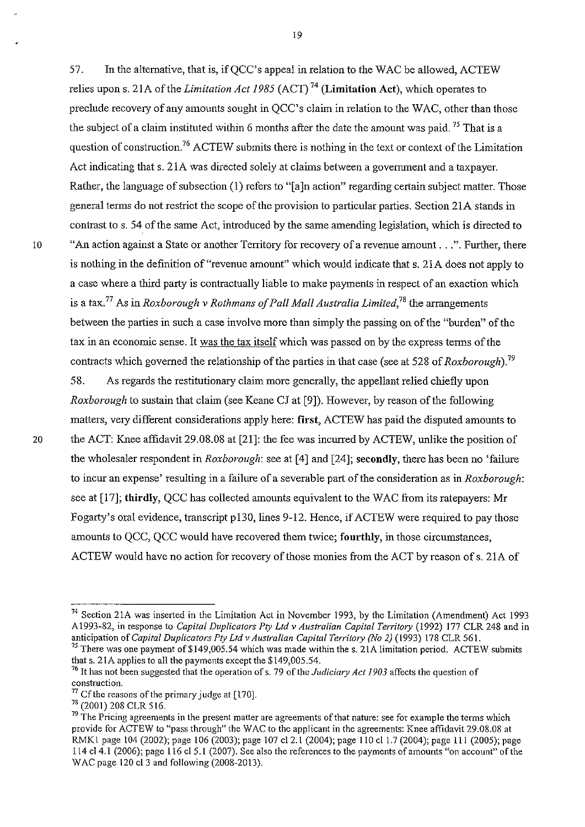57. In the alternative, that is, if QCC's appeal in relation to the W AC be allowed, ACTEW relies upon s. 2lA of the *Limitation Act* 1985 (ACT) 74 (Limitation Act), which operates to preclude recovery of any amounts sought in QCC's claim in relation to the WAC, other than those the subject of a claim instituted within 6 months after the date the amount was paid.<sup>75</sup> That is a question of construction.<sup>76</sup> ACTEW submits there is nothing in the text or context of the Limitation Act indicating that s. 21A was directed solely at claims between a government and a taxpayer. Rather, the language of subsection (1) refers to "[a]n action" regarding certain subject matter. Those general terms do not restrict the scope of the provision to particular parties. Section 21A stands in contrast to s. 54 of the same Act, introduced by the same amending legislation, which is directed to <sup>10</sup>"An action against a State or another Territory for recovery of a revenue amount ... ". Further, there is nothing in the definition of "revenue amount" which would indicate that s. 21A does not apply to a case where a third party is contractually liable to make payments in respect of an exaction which is a tax. 77 As in *Roxborough v Rothmans of Pall Mall Australia Limited,78* the arrangements between the parties in such a case involve more than simply the passing on of the "burden" of the tax in an economic sense. It was the tax itself which was passed on by the express terms of the contracts which governed the relationship of the parties in that case (see at 528 of *Roxborough*).<sup>79</sup>

58. As regards the restitutionary claim more generally, the appellant relied chiefly upon *Roxborough* to sustain that claim (see Keane CJ at [9]). However, by reason of the following matters, very different considerations apply here: first, ACTEW has paid the disputed amounts to 20 the ACT: Knee affidavit 29.08.08 at [21]: the fee was incurred by ACTEW, unlike the position of the wholesaler respondent in *Roxborough:* see at [4] and [24]; secondly, there has been no 'failure to incur an expense' resulting in a failure of a severable part of the consideration as in *Roxborough:*  see at [17]; thirdly, QCC has collected amounts equivalent to the WAC from its ratepayers: Mr Fogarty's oral evidence, transcript p130, lines 9-12. Hence, if ACTEW were required to pay those amounts to QCC, QCC would have recovered them twice; fourthly, in those circumstances, ACTEW would have no action for recovery of those monies from the ACT by reason of s. 21A of

<sup>74</sup> Section 21A was inserted in the Limitation Act in November 1993, by the Limitation (Amendment) Act 1993 AI993-82, in response to *Capital Duplicators Ply Ltd v Australian Capital Territory* (1992) 177 CLR 248 and in anticipation of *Capital Duplicators Pty Ltd v Australian Capital Territory (No 2)* (1993) 178 CLR 561.

<sup>&</sup>lt;sup>75</sup> There was one payment of \$149,005.54 which was made within the s. 21A limitation period. ACTEW submits that s. 21A applies to all the payments except the \$149,005.54.

<sup>&</sup>lt;sup>76</sup> It has not been suggested that the operation of s. 79 of the *Judiciary Act 1903* affects the question of **construction.** 

 $77$  Cf the reasons of the primary judge at [170].

<sup>73 (2001) 208</sup> CLR 516.

**<sup>79</sup> The Pricing agreements in the present matter are agreements** of that **nature: see for example the terms which**  provide for ACTEW to "pass through" the WAC to the applicant in the agreements: Knee affidavit 29.08.08 at RMKI page 104 (2002); page 106 (2003); page 107 cl2.1 (2004); page 110 cl 1.7 (2004); page 111 (2005); page 114 c14.1 (2006); page 116 c15.1 (2007). See also the references to the payments of amounts "on account" of the WAC page 120 cl3 and following (2008-2013).